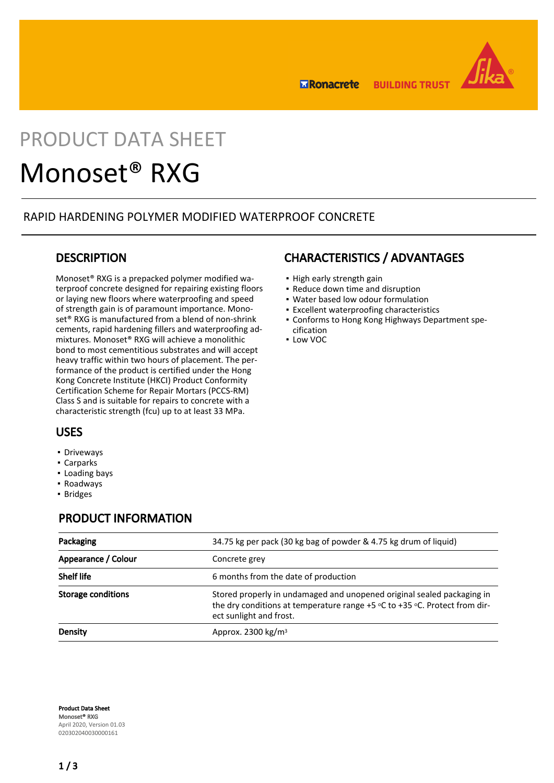

**BUILDING TRUST ERonacrete** 

# PRODUCT DATA SHEET

## Monoset® RXG

#### RAPID HARDENING POLYMER MODIFIED WATERPROOF CONCRETE

#### **DESCRIPTION**

Monoset® RXG is a prepacked polymer modified waterproof concrete designed for repairing existing floors or laying new floors where waterproofing and speed of strength gain is of paramount importance. Monoset® RXG is manufactured from a blend of non-shrink cements, rapid hardening fillers and waterproofing admixtures. Monoset® RXG will achieve a monolithic bond to most cementitious substrates and will accept heavy traffic within two hours of placement. The performance of the product is certified under the Hong Kong Concrete Institute (HKCI) Product Conformity Certification Scheme for Repair Mortars (PCCS-RM) Class S and is suitable for repairs to concrete with a characteristic strength (fcu) up to at least 33 MPa.

### CHARACTERISTICS / ADVANTAGES

- High early strength gain
- Reduce down time and disruption
- Water based low odour formulation
- Excellent waterproofing characteristics
- Conforms to Hong Kong Highways Department spe-▪
- cification ▪ Low VOC

#### USES

- **•** Driveways
- Carparks
- Loading bays
- Roadways
- Bridges

#### PRODUCT INFORMATION

| Packaging                 | 34.75 kg per pack (30 kg bag of powder & 4.75 kg drum of liquid)                                                                                                                    |  |
|---------------------------|-------------------------------------------------------------------------------------------------------------------------------------------------------------------------------------|--|
| Appearance / Colour       | Concrete grev                                                                                                                                                                       |  |
| <b>Shelf life</b>         | 6 months from the date of production                                                                                                                                                |  |
| <b>Storage conditions</b> | Stored properly in undamaged and unopened original sealed packaging in<br>the dry conditions at temperature range $+5$ °C to $+35$ °C. Protect from dir-<br>ect sunlight and frost. |  |
| Density                   | Approx. 2300 $kg/m3$                                                                                                                                                                |  |

Product Data Sheet Monoset® RXG April 2020, Version 01.03 020302040030000161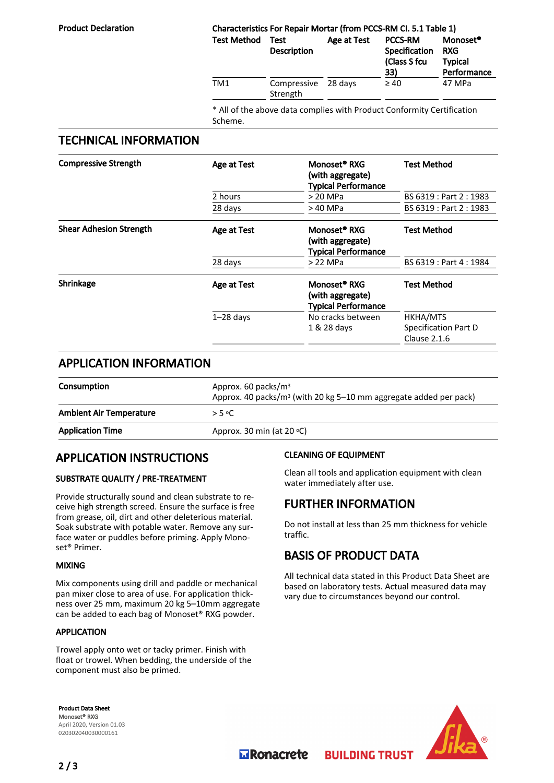#### Product Declaration Characteristics For Repair Mortar (from PCCS-RM CI. 5.1 Table 1) Test Method Test Description Age at Test PCCS-RM Specification (Class S fcu 33) Monoset® RXG Typical Performance TM1 Compressive Strength  $28 \text{ days}$   $\geq 40$  47 MPa

\* All of the above data complies with Product Conformity Certification Scheme.

#### TECHNICAL INFORMATION

| <b>Compressive Strength</b>    | <b>Age at Test</b> | Monoset <sup>®</sup> RXG<br>(with aggregate)<br><b>Typical Performance</b> | <b>Test Method</b>                                 |
|--------------------------------|--------------------|----------------------------------------------------------------------------|----------------------------------------------------|
|                                | 2 hours            | > 20 MPa                                                                   | BS 6319 : Part 2 : 1983                            |
|                                | 28 days            | > 40 MPa                                                                   | BS 6319 : Part 2 : 1983                            |
| <b>Shear Adhesion Strength</b> | Age at Test        | Monoset <sup>®</sup> RXG<br>(with aggregate)<br><b>Typical Performance</b> | <b>Test Method</b>                                 |
|                                | 28 days            | > 22 MPa                                                                   | BS 6319 : Part 4 : 1984                            |
| Shrinkage                      | Age at Test        | Monoset <sup>®</sup> RXG<br>(with aggregate)<br><b>Typical Performance</b> | <b>Test Method</b>                                 |
|                                | $1-28$ days        | No cracks between<br>1 & 28 days                                           | HKHA/MTS<br>Specification Part D<br>Clause $2.1.6$ |

#### APPLICATION INFORMATION

| <b>Consumption</b>             | Approx. 60 packs/ $m3$<br>Approx. 40 packs/m <sup>3</sup> (with 20 kg 5-10 mm aggregate added per pack) |
|--------------------------------|---------------------------------------------------------------------------------------------------------|
| <b>Ambient Air Temperature</b> | > 5 °C.                                                                                                 |
| <b>Application Time</b>        | Approx. 30 min (at 20 $\circ$ C)                                                                        |

#### APPLICATION INSTRUCTIONS

#### SUBSTRATE QUALITY / PRE-TREATMENT

Provide structurally sound and clean substrate to receive high strength screed. Ensure the surface is free from grease, oil, dirt and other deleterious material. Soak substrate with potable water. Remove any surface water or puddles before priming. Apply Monoset® Primer.

#### MIXING

Mix components using drill and paddle or mechanical pan mixer close to area of use. For application thickness over 25 mm, maximum 20 kg 5–10mm aggregate can be added to each bag of Monoset® RXG powder.

#### APPLICATION

Trowel apply onto wet or tacky primer. Finish with float or trowel. When bedding, the underside of the component must also be primed.

#### CLEANING OF EQUIPMENT

Clean all tools and application equipment with clean water immediately after use.

#### FURTHER INFORMATION

Do not install at less than 25 mm thickness for vehicle traffic.

#### BASIS OF PRODUCT DATA

**BUILDING TRUST** 

All technical data stated in this Product Data Sheet are based on laboratory tests. Actual measured data may vary due to circumstances beyond our control.

Product Data Sheet Monoset® RXG April 2020, Version 01.03 020302040030000161



**MRonacrete**